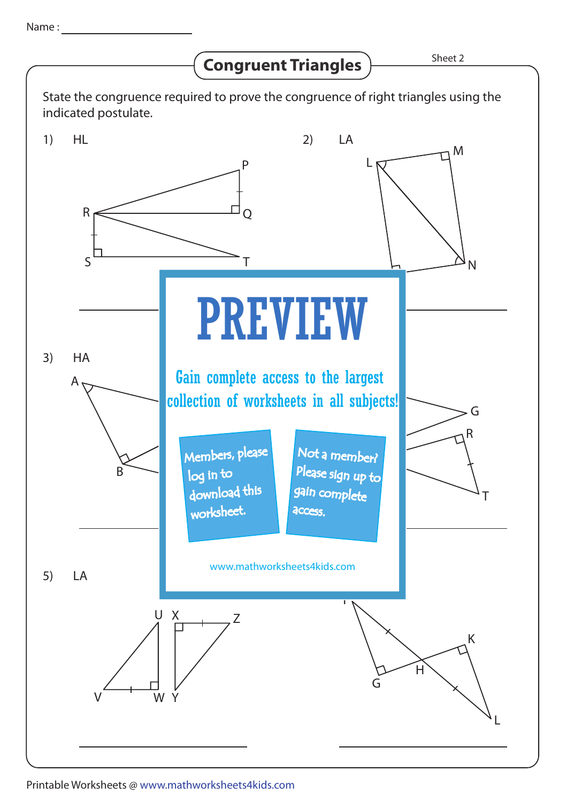